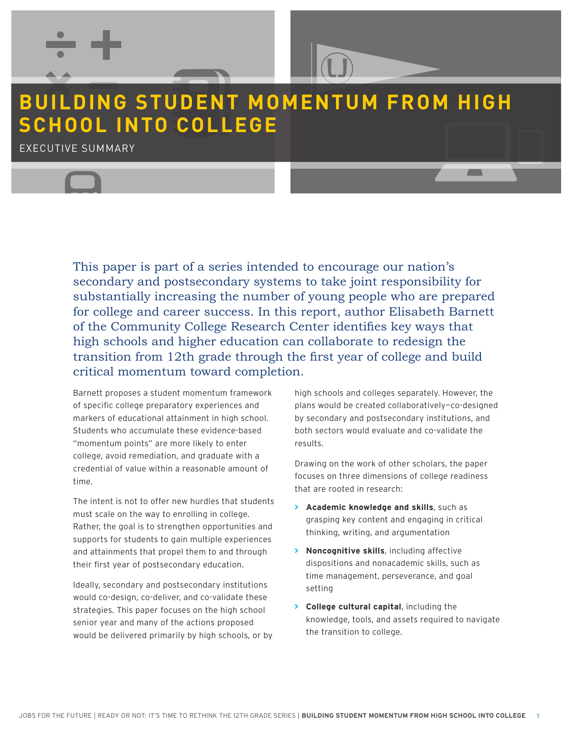# **BUILDING STUDENT MOMENTUM FROM HIGH SCHOOL INTO COLLEGE**

EXECUTIVE SUMMARY

This paper is part of a series intended to encourage our nation's secondary and postsecondary systems to take joint responsibility for substantially increasing the number of young people who are prepared for college and career success. In this report, author Elisabeth Barnett of the Community College Research Center identifies key ways that high schools and higher education can collaborate to redesign the transition from 12th grade through the first year of college and build critical momentum toward completion.

Barnett proposes a student momentum framework of specific college preparatory experiences and markers of educational attainment in high school. Students who accumulate these evidence-based "momentum points" are more likely to enter college, avoid remediation, and graduate with a credential of value within a reasonable amount of time.

The intent is not to offer new hurdles that students must scale on the way to enrolling in college. Rather, the goal is to strengthen opportunities and supports for students to gain multiple experiences supports for students to gain multiple experiences<br>and attainments that propel them to and through **Bulla 2 Noncognitive skills**, including affec their first year of postsecondary education.

Ideally, secondary and postsecondary institutions essam, secondar, and perfectively, included as the setting setting  $\frac{1}{2}$ strategies. This paper focuses on the high school **COL** strategies: This paper rocases on the high sense<br>senior year and many of the actions proposed would be delivered primarily by high schools, or by **2**

high schools and colleges separately. However, the plans would be created collaboratively—co-designed by secondary and postsecondary institutions, and both sectors would evaluate and co-validate the results.

Drawing on the work of other scholars, the paper focuses on three dimensions of college readiness that are rooted in research:

- **> Academic knowledge and skills**, such as grasping key content and engaging in critical thinking, writing, and argumentation
- **> Noncognitive skills**, including affective dispositions and nonacademic skills, such as time management, perseverance, and goal **FROM HIGH SCHOOL INTO COLLEGE** setting
	- **> College cultural capital**, including the knowledge, tools, and assets required to navigate the transition to college.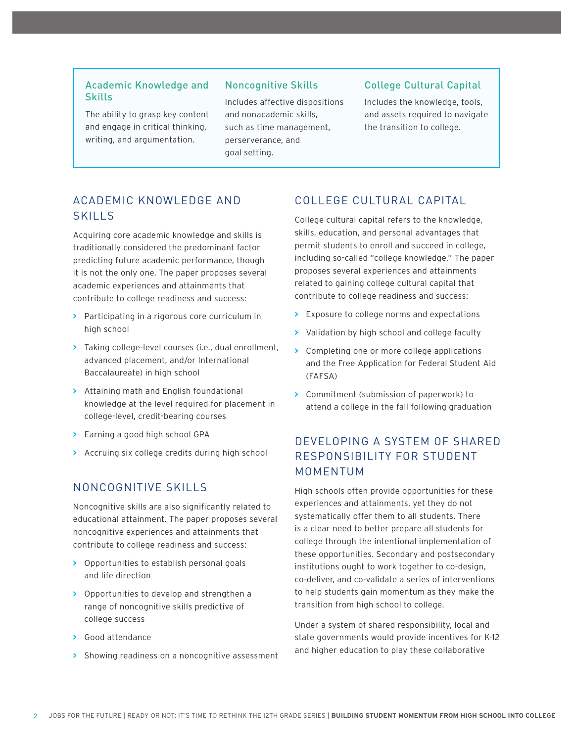## Academic Knowledge and Skills

The ability to grasp key content and engage in critical thinking, writing, and argumentation.

#### Noncognitive Skills

Includes affective dispositions and nonacademic skills, such as time management, perserverance, and goal setting.

#### College Cultural Capital

Includes the knowledge, tools, and assets required to navigate the transition to college.

## ACADEMIC KNOWLEDGE AND SKILLS

Acquiring core academic knowledge and skills is traditionally considered the predominant factor predicting future academic performance, though it is not the only one. The paper proposes several academic experiences and attainments that contribute to college readiness and success:

- **>** Participating in a rigorous core curriculum in high school
- **>** Taking college-level courses (i.e., dual enrollment, advanced placement, and/or International Baccalaureate) in high school
- **>** Attaining math and English foundational knowledge at the level required for placement in college-level, credit-bearing courses
- **>** Earning a good high school GPA
- **>** Accruing six college credits during high school

## NONCOGNITIVE SKILLS

Noncognitive skills are also significantly related to educational attainment. The paper proposes several noncognitive experiences and attainments that contribute to college readiness and success:

- **>** Opportunities to establish personal goals and life direction
- **>** Opportunities to develop and strengthen a range of noncognitive skills predictive of college success
- **>** Good attendance
- **>** Showing readiness on a noncognitive assessment

### COLLEGE CULTURAL CAPITAL

College cultural capital refers to the knowledge, skills, education, and personal advantages that permit students to enroll and succeed in college, including so-called "college knowledge." The paper proposes several experiences and attainments related to gaining college cultural capital that contribute to college readiness and success:

- **>** Exposure to college norms and expectations
- **>** Validation by high school and college faculty
- **>** Completing one or more college applications and the Free Application for Federal Student Aid (FAFSA)
- **>** Commitment (submission of paperwork) to attend a college in the fall following graduation

# DEVELOPING A SYSTEM OF SHARED RESPONSIBILITY FOR STUDENT MOMENTUM

High schools often provide opportunities for these experiences and attainments, yet they do not systematically offer them to all students. There is a clear need to better prepare all students for college through the intentional implementation of these opportunities. Secondary and postsecondary institutions ought to work together to co-design, co-deliver, and co-validate a series of interventions to help students gain momentum as they make the transition from high school to college.

Under a system of shared responsibility, local and state governments would provide incentives for K-12 and higher education to play these collaborative